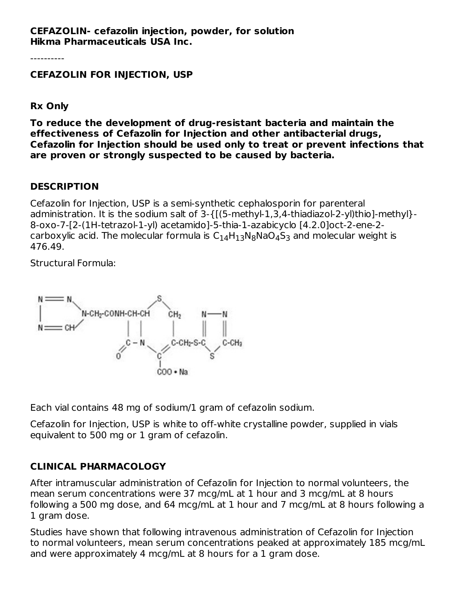**CEFAZOLIN- cefazolin injection, powder, for solution Hikma Pharmaceuticals USA Inc.**

----------

#### **CEFAZOLIN FOR INJECTION, USP**

**Rx Only**

**To reduce the development of drug-resistant bacteria and maintain the effectiveness of Cefazolin for Injection and other antibacterial drugs, Cefazolin for Injection should be used only to treat or prevent infections that are proven or strongly suspected to be caused by bacteria.**

### **DESCRIPTION**

Cefazolin for Injection, USP is a semi-synthetic cephalosporin for parenteral administration. It is the sodium salt of 3-{[(5-methyl-1,3,4-thiadiazol-2-yl)thio]-methyl}- 8-oxo-7-[2-(1H-tetrazol-1-yl) acetamido]-5-thia-1-azabicyclo [4.2.0]oct-2-ene-2 carboxylic acid. The molecular formula is  $\mathsf{C}_{14}\mathsf{H}_{13}\mathsf{N}_{8}\mathsf{N}$ a $\mathsf{O}_{4}\mathsf{S}_{3}$  and molecular weight is 476.49.

Structural Formula:



Each vial contains 48 mg of sodium/1 gram of cefazolin sodium.

Cefazolin for Injection, USP is white to off-white crystalline powder, supplied in vials equivalent to 500 mg or 1 gram of cefazolin.

# **CLINICAL PHARMACOLOGY**

After intramuscular administration of Cefazolin for Injection to normal volunteers, the mean serum concentrations were 37 mcg/mL at 1 hour and 3 mcg/mL at 8 hours following a 500 mg dose, and 64 mcg/mL at 1 hour and 7 mcg/mL at 8 hours following a 1 gram dose.

Studies have shown that following intravenous administration of Cefazolin for Injection to normal volunteers, mean serum concentrations peaked at approximately 185 mcg/mL and were approximately 4 mcg/mL at 8 hours for a 1 gram dose.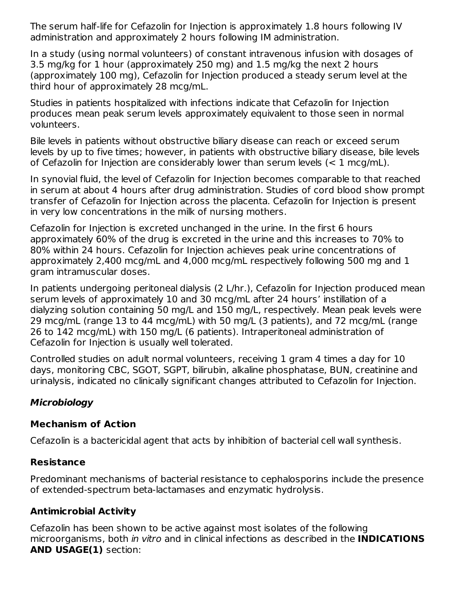The serum half-life for Cefazolin for Injection is approximately 1.8 hours following IV administration and approximately 2 hours following IM administration.

In a study (using normal volunteers) of constant intravenous infusion with dosages of 3.5 mg/kg for 1 hour (approximately 250 mg) and 1.5 mg/kg the next 2 hours (approximately 100 mg), Cefazolin for Injection produced a steady serum level at the third hour of approximately 28 mcg/mL.

Studies in patients hospitalized with infections indicate that Cefazolin for Injection produces mean peak serum levels approximately equivalent to those seen in normal volunteers.

Bile levels in patients without obstructive biliary disease can reach or exceed serum levels by up to five times; however, in patients with obstructive biliary disease, bile levels of Cefazolin for Injection are considerably lower than serum levels (< 1 mcg/mL).

In synovial fluid, the level of Cefazolin for Injection becomes comparable to that reached in serum at about 4 hours after drug administration. Studies of cord blood show prompt transfer of Cefazolin for Injection across the placenta. Cefazolin for Injection is present in very low concentrations in the milk of nursing mothers.

Cefazolin for Injection is excreted unchanged in the urine. In the first 6 hours approximately 60% of the drug is excreted in the urine and this increases to 70% to 80% within 24 hours. Cefazolin for Injection achieves peak urine concentrations of approximately 2,400 mcg/mL and 4,000 mcg/mL respectively following 500 mg and 1 gram intramuscular doses.

In patients undergoing peritoneal dialysis (2 L/hr.), Cefazolin for Injection produced mean serum levels of approximately 10 and 30 mcg/mL after 24 hours' instillation of a dialyzing solution containing 50 mg/L and 150 mg/L, respectively. Mean peak levels were 29 mcg/mL (range 13 to 44 mcg/mL) with 50 mg/L (3 patients), and 72 mcg/mL (range 26 to 142 mcg/mL) with 150 mg/L (6 patients). Intraperitoneal administration of Cefazolin for Injection is usually well tolerated.

Controlled studies on adult normal volunteers, receiving 1 gram 4 times a day for 10 days, monitoring CBC, SGOT, SGPT, bilirubin, alkaline phosphatase, BUN, creatinine and urinalysis, indicated no clinically significant changes attributed to Cefazolin for Injection.

# **Microbiology**

# **Mechanism of Action**

Cefazolin is a bactericidal agent that acts by inhibition of bacterial cell wall synthesis.

# **Resistance**

Predominant mechanisms of bacterial resistance to cephalosporins include the presence of extended-spectrum beta-lactamases and enzymatic hydrolysis.

# **Antimicrobial Activity**

Cefazolin has been shown to be active against most isolates of the following microorganisms, both in vitro and in clinical infections as described in the **INDICATIONS AND USAGE(1)** section: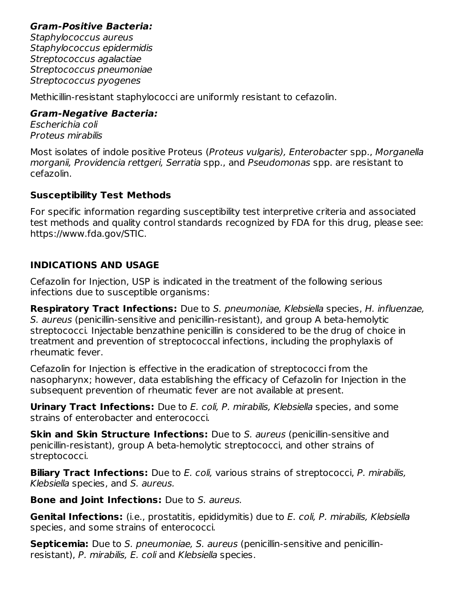### **Gram-Positive Bacteria:**

Staphylococcus aureus Staphylococcus epidermidis Streptococcus agalactiae Streptococcus pneumoniae Streptococcus pyogenes

Methicillin-resistant staphylococci are uniformly resistant to cefazolin.

### **Gram-Negative Bacteria:**

Escherichia coli Proteus mirabilis

Most isolates of indole positive Proteus (Proteus vulgaris), Enterobacter spp., Morganella morganii, Providencia rettgeri, Serratia spp., and Pseudomonas spp. are resistant to cefazolin.

# **Susceptibility Test Methods**

For specific information regarding susceptibility test interpretive criteria and associated test methods and quality control standards recognized by FDA for this drug, please see: https://www.fda.gov/STIC.

# **INDICATIONS AND USAGE**

Cefazolin for Injection, USP is indicated in the treatment of the following serious infections due to susceptible organisms:

**Respiratory Tract Infections:** Due to S. pneumoniae, Klebsiella species, H. influenzae, S. aureus (penicillin-sensitive and penicillin-resistant), and group A beta-hemolytic streptococci. Injectable benzathine penicillin is considered to be the drug of choice in treatment and prevention of streptococcal infections, including the prophylaxis of rheumatic fever.

Cefazolin for Injection is effective in the eradication of streptococci from the nasopharynx; however, data establishing the efficacy of Cefazolin for Injection in the subsequent prevention of rheumatic fever are not available at present.

**Urinary Tract Infections:** Due to E. coli, P. mirabilis, Klebsiella species, and some strains of enterobacter and enterococci.

**Skin and Skin Structure Infections:** Due to S. aureus (penicillin-sensitive and penicillin-resistant), group A beta-hemolytic streptococci, and other strains of streptococci.

**Biliary Tract Infections:** Due to E. coli, various strains of streptococci, P. mirabilis, Klebsiella species, and S. aureus.

**Bone and Joint Infections:** Due to S. aureus.

**Genital Infections:** (i.e., prostatitis, epididymitis) due to E. coli, P. mirabilis, Klebsiella species, and some strains of enterococci.

**Septicemia:** Due to S. pneumoniae, S. aureus (penicillin-sensitive and penicillinresistant), P. mirabilis, E. coli and Klebsiella species.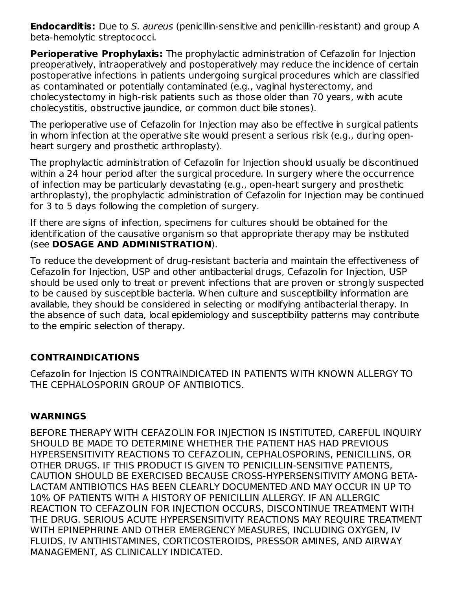**Endocarditis:** Due to S. aureus (penicillin-sensitive and penicillin-resistant) and group A beta-hemolytic streptococci.

**Perioperative Prophylaxis:** The prophylactic administration of Cefazolin for Injection preoperatively, intraoperatively and postoperatively may reduce the incidence of certain postoperative infections in patients undergoing surgical procedures which are classified as contaminated or potentially contaminated (e.g., vaginal hysterectomy, and cholecystectomy in high-risk patients such as those older than 70 years, with acute cholecystitis, obstructive jaundice, or common duct bile stones).

The perioperative use of Cefazolin for Injection may also be effective in surgical patients in whom infection at the operative site would present a serious risk (e.g., during openheart surgery and prosthetic arthroplasty).

The prophylactic administration of Cefazolin for Injection should usually be discontinued within a 24 hour period after the surgical procedure. In surgery where the occurrence of infection may be particularly devastating (e.g., open-heart surgery and prosthetic arthroplasty), the prophylactic administration of Cefazolin for Injection may be continued for 3 to 5 days following the completion of surgery.

If there are signs of infection, specimens for cultures should be obtained for the identification of the causative organism so that appropriate therapy may be instituted (see **DOSAGE AND ADMINISTRATION**).

To reduce the development of drug-resistant bacteria and maintain the effectiveness of Cefazolin for Injection, USP and other antibacterial drugs, Cefazolin for Injection, USP should be used only to treat or prevent infections that are proven or strongly suspected to be caused by susceptible bacteria. When culture and susceptibility information are available, they should be considered in selecting or modifying antibacterial therapy. In the absence of such data, local epidemiology and susceptibility patterns may contribute to the empiric selection of therapy.

### **CONTRAINDICATIONS**

Cefazolin for Injection IS CONTRAINDICATED IN PATIENTS WITH KNOWN ALLERGY TO THE CEPHALOSPORIN GROUP OF ANTIBIOTICS.

# **WARNINGS**

BEFORE THERAPY WITH CEFAZOLIN FOR INJECTION IS INSTITUTED, CAREFUL INQUIRY SHOULD BE MADE TO DETERMINE WHETHER THE PATIENT HAS HAD PREVIOUS HYPERSENSITIVITY REACTIONS TO CEFAZOLIN, CEPHALOSPORINS, PENICILLINS, OR OTHER DRUGS. IF THIS PRODUCT IS GIVEN TO PENICILLIN-SENSITIVE PATIENTS, CAUTION SHOULD BE EXERCISED BECAUSE CROSS-HYPERSENSITIVITY AMONG BETA-LACTAM ANTIBIOTICS HAS BEEN CLEARLY DOCUMENTED AND MAY OCCUR IN UP TO 10% OF PATIENTS WITH A HISTORY OF PENICILLIN ALLERGY. IF AN ALLERGIC REACTION TO CEFAZOLIN FOR INJECTION OCCURS, DISCONTINUE TREATMENT WITH THE DRUG. SERIOUS ACUTE HYPERSENSITIVITY REACTIONS MAY REQUIRE TREATMENT WITH EPINEPHRINE AND OTHER EMERGENCY MEASURES, INCLUDING OXYGEN, IV FLUIDS, IV ANTIHISTAMINES, CORTICOSTEROIDS, PRESSOR AMINES, AND AIRWAY MANAGEMENT, AS CLINICALLY INDICATED.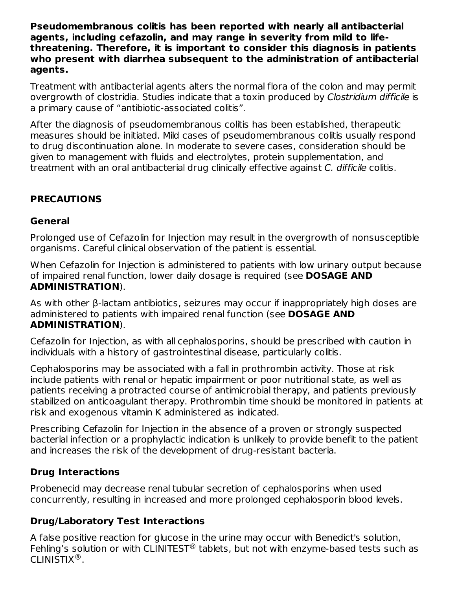**Pseudomembranous colitis has been reported with nearly all antibacterial agents, including cefazolin, and may range in severity from mild to lifethreatening. Therefore, it is important to consider this diagnosis in patients who present with diarrhea subsequent to the administration of antibacterial agents.**

Treatment with antibacterial agents alters the normal flora of the colon and may permit overgrowth of clostridia. Studies indicate that a toxin produced by Clostridium difficile is a primary cause of "antibiotic-associated colitis".

After the diagnosis of pseudomembranous colitis has been established, therapeutic measures should be initiated. Mild cases of pseudomembranous colitis usually respond to drug discontinuation alone. In moderate to severe cases, consideration should be given to management with fluids and electrolytes, protein supplementation, and treatment with an oral antibacterial drug clinically effective against C. difficile colitis.

# **PRECAUTIONS**

#### **General**

Prolonged use of Cefazolin for Injection may result in the overgrowth of nonsusceptible organisms. Careful clinical observation of the patient is essential.

When Cefazolin for Injection is administered to patients with low urinary output because of impaired renal function, lower daily dosage is required (see **DOSAGE AND ADMINISTRATION**).

As with other β-lactam antibiotics, seizures may occur if inappropriately high doses are administered to patients with impaired renal function (see **DOSAGE AND ADMINISTRATION**).

Cefazolin for Injection, as with all cephalosporins, should be prescribed with caution in individuals with a history of gastrointestinal disease, particularly colitis.

Cephalosporins may be associated with a fall in prothrombin activity. Those at risk include patients with renal or hepatic impairment or poor nutritional state, as well as patients receiving a protracted course of antimicrobial therapy, and patients previously stabilized on anticoagulant therapy. Prothrombin time should be monitored in patients at risk and exogenous vitamin K administered as indicated.

Prescribing Cefazolin for Injection in the absence of a proven or strongly suspected bacterial infection or a prophylactic indication is unlikely to provide benefit to the patient and increases the risk of the development of drug-resistant bacteria.

### **Drug Interactions**

Probenecid may decrease renal tubular secretion of cephalosporins when used concurrently, resulting in increased and more prolonged cephalosporin blood levels.

### **Drug/Laboratory Test Interactions**

A false positive reaction for glucose in the urine may occur with Benedict's solution, Fehling's solution or with CLINITEST® tablets, but not with enzyme-based tests such as CLINISTIX $^{\circledR}$ .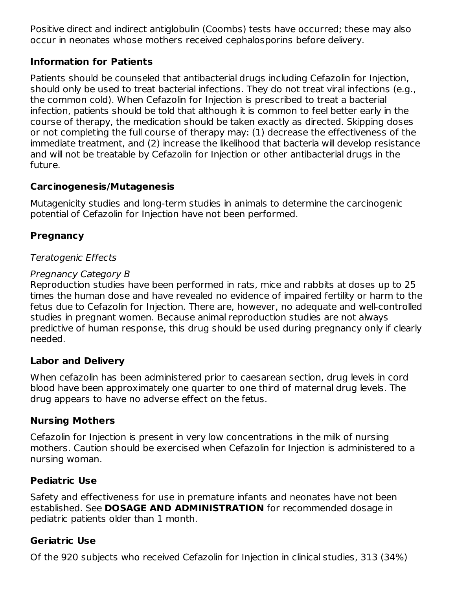Positive direct and indirect antiglobulin (Coombs) tests have occurred; these may also occur in neonates whose mothers received cephalosporins before delivery.

### **Information for Patients**

Patients should be counseled that antibacterial drugs including Cefazolin for Injection, should only be used to treat bacterial infections. They do not treat viral infections (e.g., the common cold). When Cefazolin for Injection is prescribed to treat a bacterial infection, patients should be told that although it is common to feel better early in the course of therapy, the medication should be taken exactly as directed. Skipping doses or not completing the full course of therapy may: (1) decrease the effectiveness of the immediate treatment, and (2) increase the likelihood that bacteria will develop resistance and will not be treatable by Cefazolin for Injection or other antibacterial drugs in the future.

### **Carcinogenesis/Mutagenesis**

Mutagenicity studies and long-term studies in animals to determine the carcinogenic potential of Cefazolin for Injection have not been performed.

# **Pregnancy**

### Teratogenic Effects

### Pregnancy Category B

Reproduction studies have been performed in rats, mice and rabbits at doses up to 25 times the human dose and have revealed no evidence of impaired fertility or harm to the fetus due to Cefazolin for Injection. There are, however, no adequate and well-controlled studies in pregnant women. Because animal reproduction studies are not always predictive of human response, this drug should be used during pregnancy only if clearly needed.

# **Labor and Delivery**

When cefazolin has been administered prior to caesarean section, drug levels in cord blood have been approximately one quarter to one third of maternal drug levels. The drug appears to have no adverse effect on the fetus.

# **Nursing Mothers**

Cefazolin for Injection is present in very low concentrations in the milk of nursing mothers. Caution should be exercised when Cefazolin for Injection is administered to a nursing woman.

### **Pediatric Use**

Safety and effectiveness for use in premature infants and neonates have not been established. See **DOSAGE AND ADMINISTRATION** for recommended dosage in pediatric patients older than 1 month.

# **Geriatric Use**

Of the 920 subjects who received Cefazolin for Injection in clinical studies, 313 (34%)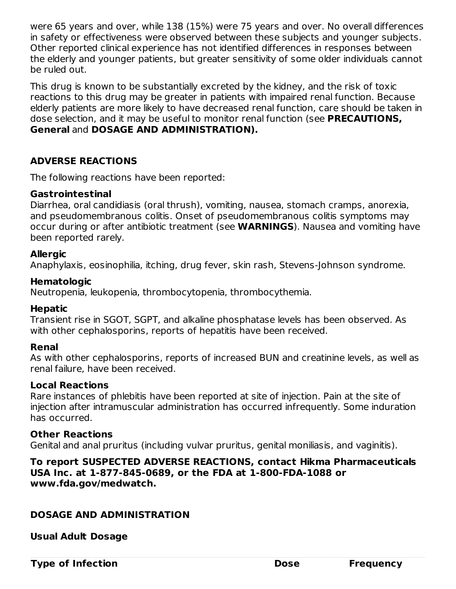were 65 years and over, while 138 (15%) were 75 years and over. No overall differences in safety or effectiveness were observed between these subjects and younger subjects. Other reported clinical experience has not identified differences in responses between the elderly and younger patients, but greater sensitivity of some older individuals cannot be ruled out.

This drug is known to be substantially excreted by the kidney, and the risk of toxic reactions to this drug may be greater in patients with impaired renal function. Because elderly patients are more likely to have decreased renal function, care should be taken in dose selection, and it may be useful to monitor renal function (see **PRECAUTIONS, General** and **DOSAGE AND ADMINISTRATION).**

### **ADVERSE REACTIONS**

The following reactions have been reported:

#### **Gastrointestinal**

Diarrhea, oral candidiasis (oral thrush), vomiting, nausea, stomach cramps, anorexia, and pseudomembranous colitis. Onset of pseudomembranous colitis symptoms may occur during or after antibiotic treatment (see **WARNINGS**). Nausea and vomiting have been reported rarely.

### **Allergic**

Anaphylaxis, eosinophilia, itching, drug fever, skin rash, Stevens-Johnson syndrome.

#### **Hematologic**

Neutropenia, leukopenia, thrombocytopenia, thrombocythemia.

### **Hepatic**

Transient rise in SGOT, SGPT, and alkaline phosphatase levels has been observed. As with other cephalosporins, reports of hepatitis have been received.

### **Renal**

As with other cephalosporins, reports of increased BUN and creatinine levels, as well as renal failure, have been received.

### **Local Reactions**

Rare instances of phlebitis have been reported at site of injection. Pain at the site of injection after intramuscular administration has occurred infrequently. Some induration has occurred.

#### **Other Reactions**

Genital and anal pruritus (including vulvar pruritus, genital moniliasis, and vaginitis).

#### **To report SUSPECTED ADVERSE REACTIONS, contact Hikma Pharmaceuticals USA Inc. at 1-877-845-0689, or the FDA at 1-800-FDA-1088 or www.fda.gov/medwatch.**

### **DOSAGE AND ADMINISTRATION**

**Usual Adult Dosage**

**Type of Infection Construction Dose Frequency**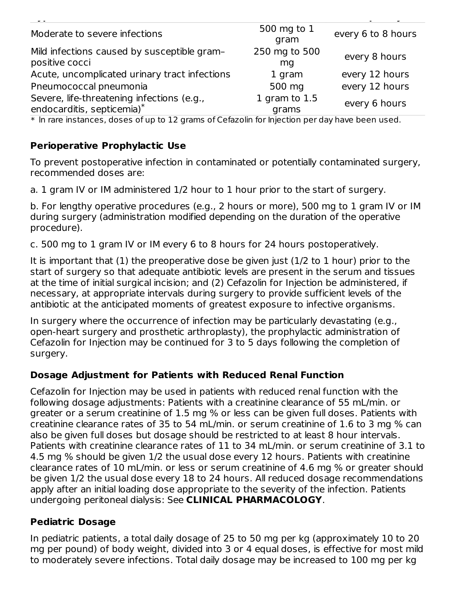| Moderate to severe infections                                            | 500 mg to 1<br>gram    | every 6 to 8 hours |
|--------------------------------------------------------------------------|------------------------|--------------------|
| Mild infections caused by susceptible gram-<br>positive cocci            | 250 mg to 500<br>mg    | every 8 hours      |
| Acute, uncomplicated urinary tract infections                            | 1 gram                 | every 12 hours     |
| Pneumococcal pneumonia                                                   | 500 mg                 | every 12 hours     |
| Severe, life-threatening infections (e.g.,<br>endocarditis, septicemia)* | 1 gram to 1.5<br>grams | every 6 hours      |

**Type of Infection Dose Frequency**

\* ln rare instances, doses of up to 12 grams of Cefazolin for Injection per day have been used.

### **Perioperative Prophylactic Use**

To prevent postoperative infection in contaminated or potentially contaminated surgery, recommended doses are:

a. 1 gram IV or IM administered 1/2 hour to 1 hour prior to the start of surgery.

b. For lengthy operative procedures (e.g., 2 hours or more), 500 mg to 1 gram IV or IM during surgery (administration modified depending on the duration of the operative procedure).

c. 500 mg to 1 gram IV or IM every 6 to 8 hours for 24 hours postoperatively.

It is important that (1) the preoperative dose be given just (1/2 to 1 hour) prior to the start of surgery so that adequate antibiotic levels are present in the serum and tissues at the time of initial surgical incision; and (2) Cefazolin for Injection be administered, if necessary, at appropriate intervals during surgery to provide sufficient levels of the antibiotic at the anticipated moments of greatest exposure to infective organisms.

In surgery where the occurrence of infection may be particularly devastating (e.g., open-heart surgery and prosthetic arthroplasty), the prophylactic administration of Cefazolin for Injection may be continued for 3 to 5 days following the completion of surgery.

# **Dosage Adjustment for Patients with Reduced Renal Function**

Cefazolin for Injection may be used in patients with reduced renal function with the following dosage adjustments: Patients with a creatinine clearance of 55 mL/min. or greater or a serum creatinine of 1.5 mg % or less can be given full doses. Patients with creatinine clearance rates of 35 to 54 mL/min. or serum creatinine of 1.6 to 3 mg % can also be given full doses but dosage should be restricted to at least 8 hour intervals. Patients with creatinine clearance rates of 11 to 34 mL/min. or serum creatinine of 3.1 to 4.5 mg % should be given 1/2 the usual dose every 12 hours. Patients with creatinine clearance rates of 10 mL/min. or less or serum creatinine of 4.6 mg % or greater should be given 1/2 the usual dose every 18 to 24 hours. All reduced dosage recommendations apply after an initial loading dose appropriate to the severity of the infection. Patients undergoing peritoneal dialysis: See **CLINICAL PHARMACOLOGY**.

### **Pediatric Dosage**

In pediatric patients, a total daily dosage of 25 to 50 mg per kg (approximately 10 to 20 mg per pound) of body weight, divided into 3 or 4 equal doses, is effective for most mild to moderately severe infections. Total daily dosage may be increased to 100 mg per kg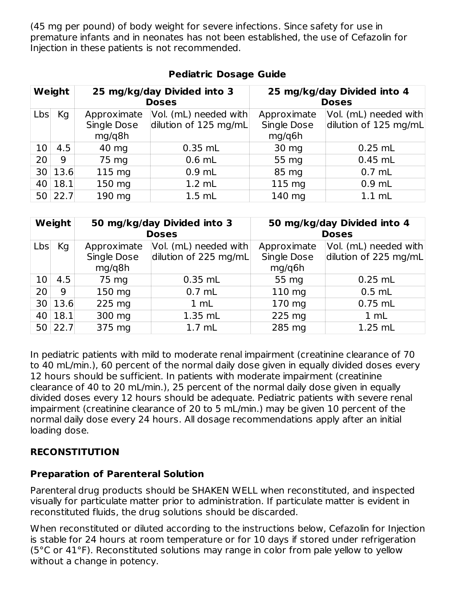(45 mg per pound) of body weight for severe infections. Since safety for use in premature infants and in neonates has not been established, the use of Cefazolin for Injection in these patients is not recommended.

| Weight          |      |                       | 25 mg/kg/day Divided into 3<br><b>Doses</b> | 25 mg/kg/day Divided into 4<br><b>Doses</b> |                       |  |
|-----------------|------|-----------------------|---------------------------------------------|---------------------------------------------|-----------------------|--|
| Lbs             | Kg   | Approximate           | Vol. (mL) needed with                       | Approximate                                 | Vol. (mL) needed with |  |
|                 |      | Single Dose<br>mg/g8h | dilution of 125 mg/mL                       | Single Dose<br>mg/q6h                       | dilution of 125 mg/mL |  |
| 10              | 4.5  | 40 mg                 | $0.35$ mL                                   | 30 mg                                       | $0.25$ mL             |  |
| 20              | 9    | 75 mg                 | $0.6$ mL                                    | 55 mg                                       | $0.45$ mL             |  |
| 30              | 13.6 | $115 \text{ mg}$      | $0.9$ mL                                    | 85 mg                                       | $0.7$ mL              |  |
| 40              | 18.1 | 150 mg                | $1.2$ mL                                    | 115 mg                                      | $0.9$ mL              |  |
| 50 <sub>1</sub> | 22.7 | 190 mg                | $1.5$ mL                                    | 140 mg                                      | $1.1$ mL              |  |

# **Pediatric Dosage Guide**

| Weight          |         |                                             | 50 mg/kg/day Divided into 3<br><b>Doses</b>    | 50 mg/kg/day Divided into 4<br><b>Doses</b> |                                                |  |
|-----------------|---------|---------------------------------------------|------------------------------------------------|---------------------------------------------|------------------------------------------------|--|
| Lbs             | Kg      | Approximate<br><b>Single Dose</b><br>mg/q8h | Vol. (mL) needed with<br>dilution of 225 mg/mL | Approximate<br><b>Single Dose</b><br>mg/q6h | Vol. (mL) needed with<br>dilution of 225 mg/mL |  |
| 10 <sup>1</sup> | 4.5     | 75 mg                                       | $0.35$ mL                                      | 55 mg                                       | $0.25$ mL                                      |  |
| 20              | 9       | 150 mg                                      | $0.7$ mL                                       | 110 mg                                      | $0.5$ mL                                       |  |
|                 | 30 13.6 | 225 mg                                      | 1 mL                                           | 170 mg                                      | $0.75$ mL                                      |  |
| 40              | 18.1    | 300 mg                                      | 1.35 mL                                        | 225 mg                                      | 1 mL                                           |  |
| 50 <sub>1</sub> | 22.7    | 375 mg                                      | $1.7$ mL                                       | 285 mg                                      | 1.25 mL                                        |  |

In pediatric patients with mild to moderate renal impairment (creatinine clearance of 70 to 40 mL/min.), 60 percent of the normal daily dose given in equally divided doses every 12 hours should be sufficient. In patients with moderate impairment (creatinine clearance of 40 to 20 mL/min.), 25 percent of the normal daily dose given in equally divided doses every 12 hours should be adequate. Pediatric patients with severe renal impairment (creatinine clearance of 20 to 5 mL/min.) may be given 10 percent of the normal daily dose every 24 hours. All dosage recommendations apply after an initial loading dose.

# **RECONSTITUTION**

# **Preparation of Parenteral Solution**

Parenteral drug products should be SHAKEN WELL when reconstituted, and inspected visually for particulate matter prior to administration. If particulate matter is evident in reconstituted fluids, the drug solutions should be discarded.

When reconstituted or diluted according to the instructions below, Cefazolin for Injection is stable for 24 hours at room temperature or for 10 days if stored under refrigeration (5°C or 41°F). Reconstituted solutions may range in color from pale yellow to yellow without a change in potency.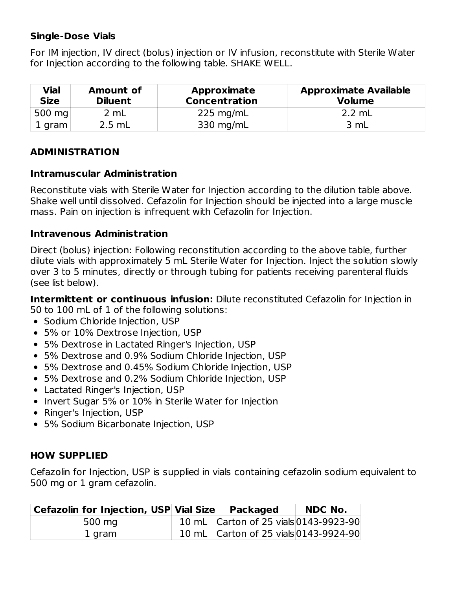### **Single-Dose Vials**

For IM injection, IV direct (bolus) injection or IV infusion, reconstitute with Sterile Water for Injection according to the following table. SHAKE WELL.

| Vial<br><b>Size</b> | <b>Amount of</b><br><b>Diluent</b> | <b>Approximate</b><br><b>Concentration</b> | <b>Approximate Available</b><br><b>Volume</b> |
|---------------------|------------------------------------|--------------------------------------------|-----------------------------------------------|
| 500 $mg$            | 2 mL                               | $225 \text{ mg/mL}$                        | $2.2 \text{ mL}$                              |
| 1 gram              | $2.5$ mL                           | 330 mg/mL                                  | 3 mL                                          |

### **ADMINISTRATION**

### **Intramuscular Administration**

Reconstitute vials with Sterile Water for Injection according to the dilution table above. Shake well until dissolved. Cefazolin for Injection should be injected into a large muscle mass. Pain on injection is infrequent with Cefazolin for Injection.

### **Intravenous Administration**

Direct (bolus) injection: Following reconstitution according to the above table, further dilute vials with approximately 5 mL Sterile Water for Injection. Inject the solution slowly over 3 to 5 minutes, directly or through tubing for patients receiving parenteral fluids (see list below).

**Intermittent or continuous infusion:** Dilute reconstituted Cefazolin for Injection in 50 to 100 mL of 1 of the following solutions:

- Sodium Chloride Injection, USP
- 5% or 10% Dextrose Injection, USP
- 5% Dextrose in Lactated Ringer's Injection, USP
- 5% Dextrose and 0.9% Sodium Chloride Injection, USP
- 5% Dextrose and 0.45% Sodium Chloride Injection, USP
- 5% Dextrose and 0.2% Sodium Chloride Injection, USP
- Lactated Ringer's Injection, USP
- Invert Sugar 5% or 10% in Sterile Water for Injection
- Ringer's Injection, USP
- 5% Sodium Bicarbonate Injection, USP

# **HOW SUPPLIED**

Cefazolin for Injection, USP is supplied in vials containing cefazolin sodium equivalent to 500 mg or 1 gram cefazolin.

| <b>Cefazolin for Injection, USP Vial Size</b> | <b>Packaged</b>                       | <b>NDC No.</b> |
|-----------------------------------------------|---------------------------------------|----------------|
| 500 mg                                        | 10 mL Carton of 25 vials 0143-9923-90 |                |
| 1 gram                                        | 10 mL Carton of 25 vials 0143-9924-90 |                |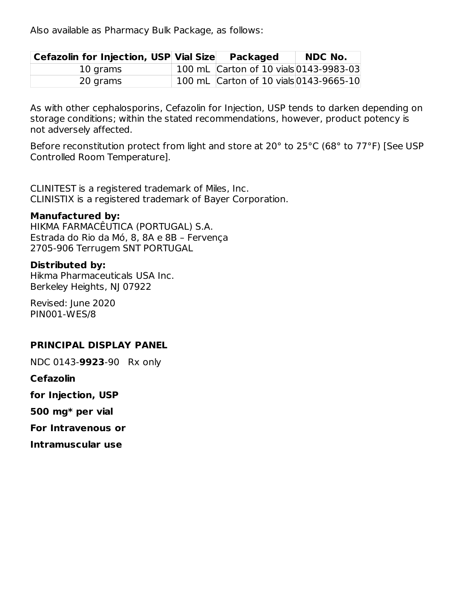Also available as Pharmacy Bulk Package, as follows:

| Cefazolin for Injection, USP Vial Size | <b>Packaged</b>                        | <b>NDC No.</b> |
|----------------------------------------|----------------------------------------|----------------|
| 10 grams                               | 100 mL Carton of 10 vials 0143-9983-03 |                |
| 20 grams                               | 100 mL Carton of 10 vials 0143-9665-10 |                |

As with other cephalosporins, Cefazolin for Injection, USP tends to darken depending on storage conditions; within the stated recommendations, however, product potency is not adversely affected.

Before reconstitution protect from light and store at 20° to 25°C (68° to 77°F) [See USP Controlled Room Temperature].

CLINITEST is a registered trademark of Miles, Inc. CLINISTIX is a registered trademark of Bayer Corporation.

#### **Manufactured by:**

HIKMA FARMACÊUTICA (PORTUGAL) S.A. Estrada do Rio da Mó, 8, 8A e 8B – Fervença 2705-906 Terrugem SNT PORTUGAL

#### **Distributed by:**

Hikma Pharmaceuticals USA Inc. Berkeley Heights, NJ 07922

Revised: June 2020 PIN001-WES/8

### **PRINCIPAL DISPLAY PANEL**

NDC 0143-**9923**-90 Rx only

**Cefazolin**

**for Injection, USP**

**500 mg\* per vial**

**For Intravenous or**

**Intramuscular use**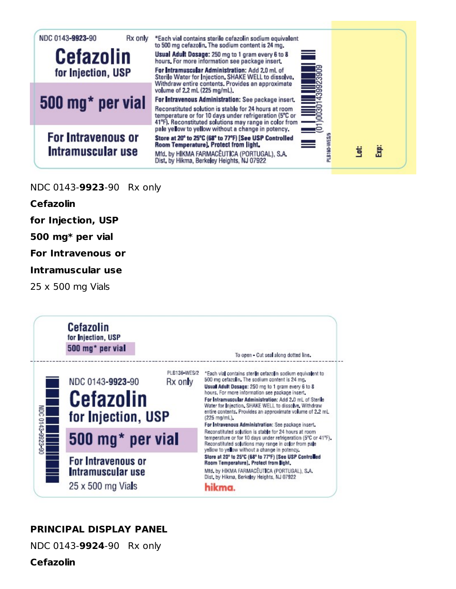

#### NDC 0143-**9923**-90 Rx only

**Cefazolin**

**for Injection, USP**

**500 mg\* per vial**

**For Intravenous or**

**Intramuscular use**

25 x 500 mg Vials



### **PRINCIPAL DISPLAY PANEL**

NDC 0143-**9924**-90 Rx only

**Cefazolin**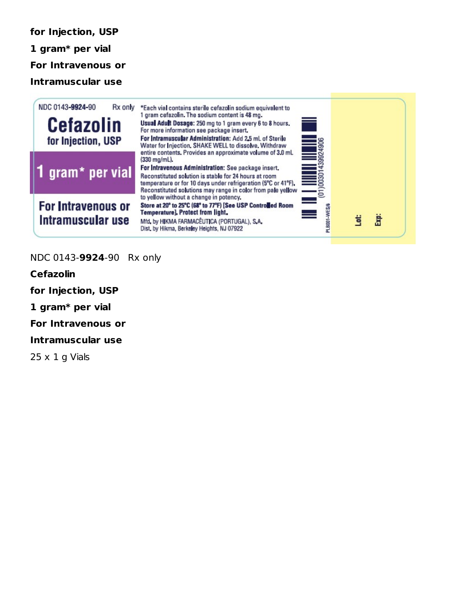**for Injection, USP 1 gram\* per vial For Intravenous or Intramuscular use**



#### NDC 0143-**9924**-90 Rx only

**Cefazolin**

**for Injection, USP**

**1 gram\* per vial**

**For Intravenous or**

**Intramuscular use**

 $25 \times 1$  g Vials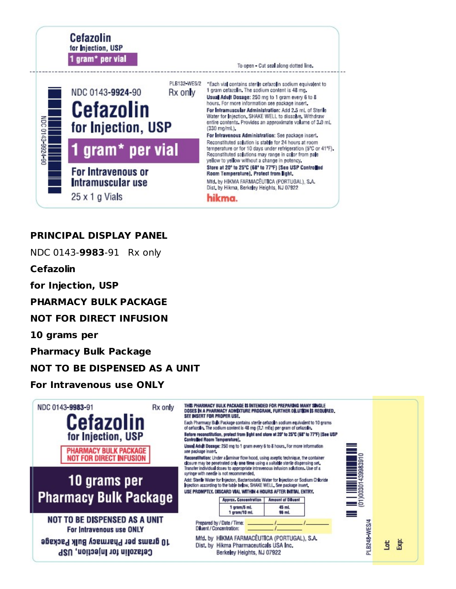

### **PRINCIPAL DISPLAY PANEL**

NDC 0143-**9983**-91 Rx only

**Cefazolin**

**for Injection, USP**

**PHARMACY BULK PACKAGE**

**NOT FOR DIRECT INFUSION**

**10 grams per**

**Pharmacy Bulk Package**

### **NOT TO BE DISPENSED AS A UNIT**

#### **For Intravenous use ONLY**

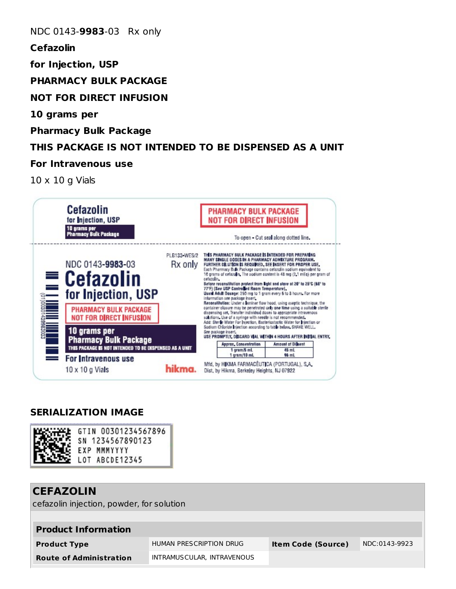NDC 0143-**9983**-03 Rx only

**Cefazolin**

**for Injection, USP**

**PHARMACY BULK PACKAGE**

**NOT FOR DIRECT INFUSION**

**10 grams per**

**Pharmacy Bulk Package**

# **THIS PACKAGE IS NOT INTENDED TO BE DISPENSED AS A UNIT**

#### **For Intravenous use**

10 x 10 g Vials



### **SERIALIZATION IMAGE**



| <b>CEFAZOLIN</b><br>cefazolin injection, powder, for solution |                            |                           |               |  |
|---------------------------------------------------------------|----------------------------|---------------------------|---------------|--|
| <b>Product Information</b>                                    |                            |                           |               |  |
| <b>Product Type</b>                                           | HUMAN PRESCRIPTION DRUG    | <b>Item Code (Source)</b> | NDC:0143-9923 |  |
| <b>Route of Administration</b>                                | INTRAMUSCULAR, INTRAVENOUS |                           |               |  |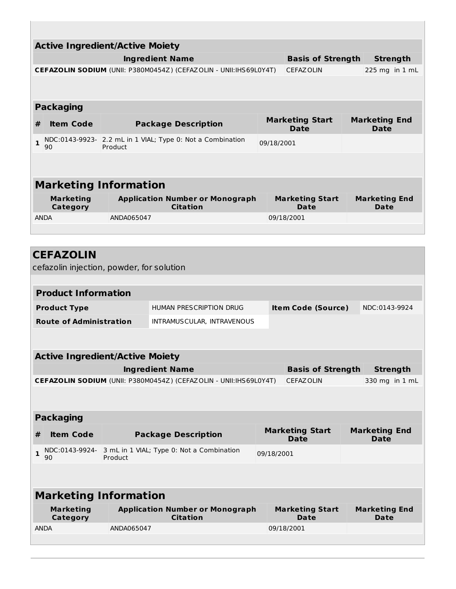|                                | <b>Active Ingredient/Active Moiety</b>                                |         |                                                                   |            |                                       |  |                                     |
|--------------------------------|-----------------------------------------------------------------------|---------|-------------------------------------------------------------------|------------|---------------------------------------|--|-------------------------------------|
|                                | <b>Basis of Strength</b><br><b>Ingredient Name</b><br><b>Strength</b> |         |                                                                   |            |                                       |  |                                     |
|                                |                                                                       |         | CEFAZOLIN SODIUM (UNII: P380M0454Z) (CEFAZOLIN - UNII:IHS69L0Y4T) |            | <b>CEFAZOLIN</b>                      |  | 225 mg in 1 mL                      |
|                                |                                                                       |         |                                                                   |            |                                       |  |                                     |
|                                | <b>Packaging</b>                                                      |         |                                                                   |            |                                       |  |                                     |
| #                              | <b>Item Code</b>                                                      |         | <b>Package Description</b>                                        |            | <b>Marketing Start</b><br><b>Date</b> |  | <b>Marketing End</b><br><b>Date</b> |
| $\mathbf{1}$                   | 90                                                                    | Product | NDC:0143-9923- 2.2 mL in 1 VIAL; Type 0: Not a Combination        | 09/18/2001 |                                       |  |                                     |
|                                |                                                                       |         |                                                                   |            |                                       |  |                                     |
|                                | <b>Marketing Information</b>                                          |         |                                                                   |            |                                       |  |                                     |
|                                | <b>Marketing</b><br>Category                                          |         | <b>Application Number or Monograph</b><br><b>Citation</b>         |            | <b>Marketing Start</b><br><b>Date</b> |  | <b>Marketing End</b><br><b>Date</b> |
| <b>ANDA</b><br>ANDA065047      |                                                                       |         |                                                                   | 09/18/2001 |                                       |  |                                     |
|                                |                                                                       |         |                                                                   |            |                                       |  |                                     |
|                                |                                                                       |         |                                                                   |            |                                       |  |                                     |
|                                | <b>CEFAZOLIN</b>                                                      |         |                                                                   |            |                                       |  |                                     |
|                                | cefazolin injection, powder, for solution                             |         |                                                                   |            |                                       |  |                                     |
|                                | <b>Product Information</b>                                            |         |                                                                   |            |                                       |  |                                     |
| <b>Product Type</b>            |                                                                       |         | HUMAN PRESCRIPTION DRUG                                           |            | <b>Item Code (Source)</b>             |  | NDC:0143-9924                       |
| <b>Route of Administration</b> |                                                                       |         | INTRAMUSCULAR, INTRAVENOUS                                        |            |                                       |  |                                     |
|                                |                                                                       |         |                                                                   |            |                                       |  |                                     |
|                                | <b>Active Ingredient/Active Moiety</b>                                |         |                                                                   |            |                                       |  |                                     |
|                                | <b>Ingredient Name</b><br><b>Basis of Strength</b><br><b>Strength</b> |         |                                                                   |            |                                       |  |                                     |

| <b>Packaging</b> |  |
|------------------|--|
|                  |  |

I.

| <b>Item Code</b> | <b>Package Description</b>                                                         | <b>Marketing Start</b><br><b>Date</b> | <b>Marketing End</b><br><b>Date</b> |
|------------------|------------------------------------------------------------------------------------|---------------------------------------|-------------------------------------|
| 90               | $\blacksquare$ NDC:0143-9924- 3 mL in 1 VIAL; Type 0: Not a Combination<br>Product | 09/18/2001                            |                                     |
|                  |                                                                                    |                                       |                                     |

**CEFAZOLIN SODIUM** (UNII: P380M0454Z) (CEFAZOLIN - UNII:IHS69L0Y4T) CEFAZOLIN 330 mg in 1 mL

| <b>Marketing Information</b> |                                                           |                                |                              |  |
|------------------------------|-----------------------------------------------------------|--------------------------------|------------------------------|--|
| <b>Marketing</b><br>Category | <b>Application Number or Monograph</b><br><b>Citation</b> | <b>Marketing Start</b><br>Date | <b>Marketing End</b><br>Date |  |
| <b>ANDA</b>                  | ANDA065047                                                | 09/18/2001                     |                              |  |
|                              |                                                           |                                |                              |  |